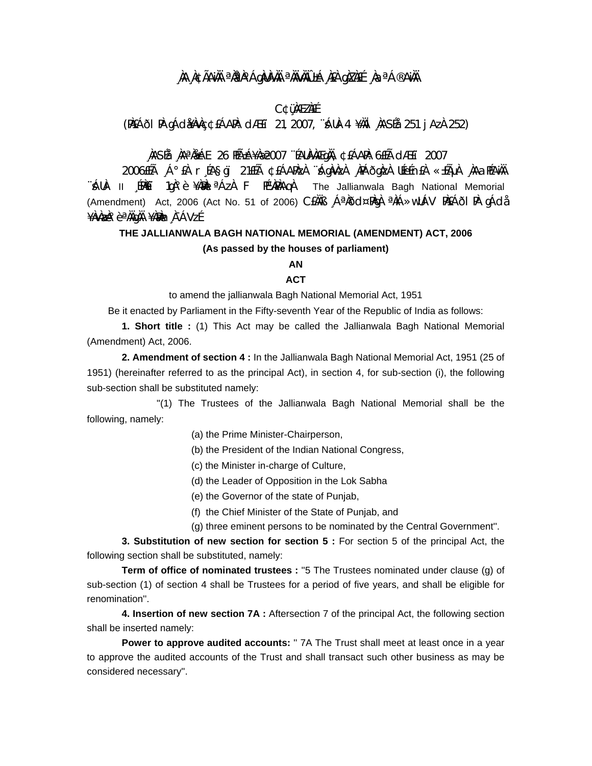## **¸ÀA¸À¢ÃAiÀÄ ªÀåªÀºÁgÀUÀ¼ÀÄ ªÀÄvÀÄÛ ±Á¸À£À gÀZÀ£É ¸ÀaªÁ®AiÀÄ**

### **C¢ü¸ÀÆZÀ£É**

(PÀ£ÁðlPÀ gÁdå¥ÀvÀç ¢£ÁAPÀ: dÆ£ï 21, 2007, ¨sÁUÀ-4 ¥ÀÄl¸ÀASÉå: 251 jAzÀ 252)

## **¸ÀASÉå: ¸ÀAªÀå±ÁE 26 PÉñÁ¥Àæ 2007 ¨ÉAUÀ¼ÀÆgÀÄ, ¢£ÁAPÀ: 6£Éà dÆ£ï 2007**

2006£Éà ¸Á°£À r¸ÉA§gï 21£Éà ¢£ÁAPÀzÀ ¨sÁgÀvÀzÀ ¸ÀPÁðgÀzÀ UÉeÉn£À «±ÉõÀ ¸ÀAaPÉAiÀÄ "ÁUÀ- II 〔PÀÈǐ 1qÀ°è ¥ÀAN ªÁzÀ F PɼPÀAqÀ The Jallianwala Bagh National Memorial (Amendment) Act, 2006 (Act No. 51 of 2006) C£ÀÄß ¸ÁªÀðd¤PÀgÀ ªÀiÁ»wUÁV PÀ£ÁðlPÀ gÁdå ¥ÀvÀæÀ°èªÀÄgÀÄ ¥À?Àm,À¯ÁVzÉ

# **THE JALLIANWALA BAGH NATIONAL MEMORIAL (AMENDMENT) ACT, 2006 (As passed by the houses of parliament)**

### **AN**

### **ACT**

to amend the jallianwala Bagh National Memorial Act, 1951

Be it enacted by Parliament in the Fifty-seventh Year of the Republic of India as follows:

**1. Short title :** (1) This Act may be called the Jallianwala Bagh National Memorial (Amendment) Act, 2006.

**2. Amendment of section 4 :** In the Jallianwala Bagh National Memorial Act, 1951 (25 of 1951) (hereinafter referred to as the principal Act), in section 4, for sub-section (i), the following sub-section shall be substituted namely:

 ''(1) The Trustees of the Jallianwala Bagh National Memorial shall be the following, namely:

(a) the Prime Minister-Chairperson,

(b) the President of the Indian National Congress,

- (c) the Minister in-charge of Culture,
- (d) the Leader of Opposition in the Lok Sabha
- (e) the Governor of the state of Punjab,
- (f) the Chief Minister of the State of Punjab, and
- (g) three eminent persons to be nominated by the Central Government''.

**3. Substitution of new section for section 5 :** For section 5 of the principal Act, the following section shall be substituted, namely:

**Term of office of nominated trustees :** ''5 The Trustees nominated under clause (g) of sub-section (1) of section 4 shall be Trustees for a period of five years, and shall be eligible for renomination''.

**4. Insertion of new section 7A :** Aftersection 7 of the principal Act, the following section shall be inserted namely:

**Power to approve audited accounts:** " 7A The Trust shall meet at least once in a year to approve the audited accounts of the Trust and shall transact such other business as may be considered necessary''.